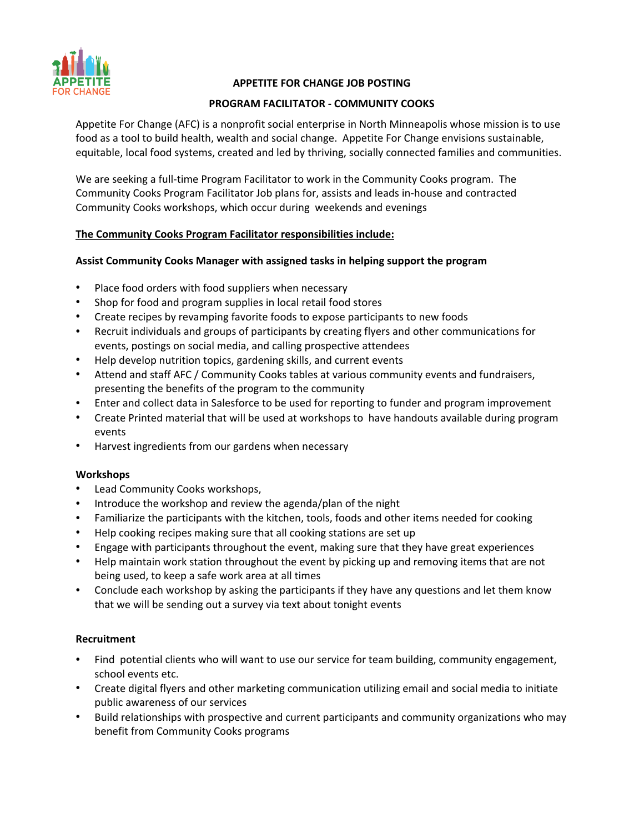

## **APPETITE FOR CHANGE JOB POSTING**

### **PROGRAM FACILITATOR - COMMUNITY COOKS**

Appetite For Change (AFC) is a nonprofit social enterprise in North Minneapolis whose mission is to use food as a tool to build health, wealth and social change. Appetite For Change envisions sustainable, equitable, local food systems, created and led by thriving, socially connected families and communities.

We are seeking a full-time Program Facilitator to work in the Community Cooks program. The Community Cooks Program Facilitator Job plans for, assists and leads in-house and contracted Community Cooks workshops, which occur during weekends and evenings

#### **The Community Cooks Program Facilitator responsibilities include:**

#### **Assist Community Cooks Manager with assigned tasks in helping support the program**

- Place food orders with food suppliers when necessary
- Shop for food and program supplies in local retail food stores
- Create recipes by revamping favorite foods to expose participants to new foods
- Recruit individuals and groups of participants by creating flyers and other communications for events, postings on social media, and calling prospective attendees
- Help develop nutrition topics, gardening skills, and current events
- Attend and staff AFC / Community Cooks tables at various community events and fundraisers, presenting the benefits of the program to the community
- Enter and collect data in Salesforce to be used for reporting to funder and program improvement
- Create Printed material that will be used at workshops to have handouts available during program events
- Harvest ingredients from our gardens when necessary

#### **Workshops**

- Lead Community Cooks workshops,
- Introduce the workshop and review the agenda/plan of the night
- Familiarize the participants with the kitchen, tools, foods and other items needed for cooking
- Help cooking recipes making sure that all cooking stations are set up
- Engage with participants throughout the event, making sure that they have great experiences
- Help maintain work station throughout the event by picking up and removing items that are not being used, to keep a safe work area at all times
- Conclude each workshop by asking the participants if they have any questions and let them know that we will be sending out a survey via text about tonight events

#### **Recruitment**

- Find potential clients who will want to use our service for team building, community engagement, school events etc.
- Create digital flyers and other marketing communication utilizing email and social media to initiate public awareness of our services
- Build relationships with prospective and current participants and community organizations who may benefit from Community Cooks programs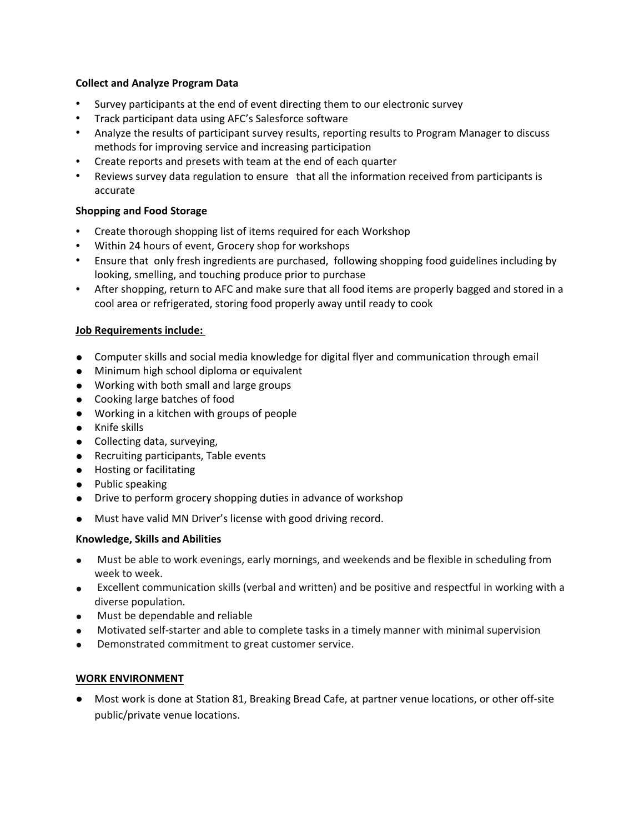#### **Collect and Analyze Program Data**

- Survey participants at the end of event directing them to our electronic survey
- Track participant data using AFC's Salesforce software
- Analyze the results of participant survey results, reporting results to Program Manager to discuss methods for improving service and increasing participation
- Create reports and presets with team at the end of each quarter
- Reviews survey data regulation to ensure that all the information received from participants is accurate

## **Shopping and Food Storage**

- Create thorough shopping list of items required for each Workshop
- Within 24 hours of event, Grocery shop for workshops
- Ensure that only fresh ingredients are purchased, following shopping food guidelines including by looking, smelling, and touching produce prior to purchase
- After shopping, return to AFC and make sure that all food items are properly bagged and stored in a cool area or refrigerated, storing food properly away until ready to cook

## **Job Requirements include:**

- Computer skills and social media knowledge for digital flyer and communication through email
- Minimum high school diploma or equivalent
- Working with both small and large groups
- Cooking large batches of food
- Working in a kitchen with groups of people
- Knife skills
- Collecting data, surveying,
- Recruiting participants, Table events
- Hosting or facilitating
- Public speaking
- Drive to perform grocery shopping duties in advance of workshop
- Must have valid MN Driver's license with good driving record.

#### **Knowledge, Skills and Abilities**

- Must be able to work evenings, early mornings, and weekends and be flexible in scheduling from week to week.
- Excellent communication skills (verbal and written) and be positive and respectful in working with a diverse population.
- Must be dependable and reliable
- Motivated self-starter and able to complete tasks in a timely manner with minimal supervision
- Demonstrated commitment to great customer service.

#### **WORK ENVIRONMENT**

● Most work is done at Station 81, Breaking Bread Cafe, at partner venue locations, or other off-site public/private venue locations.